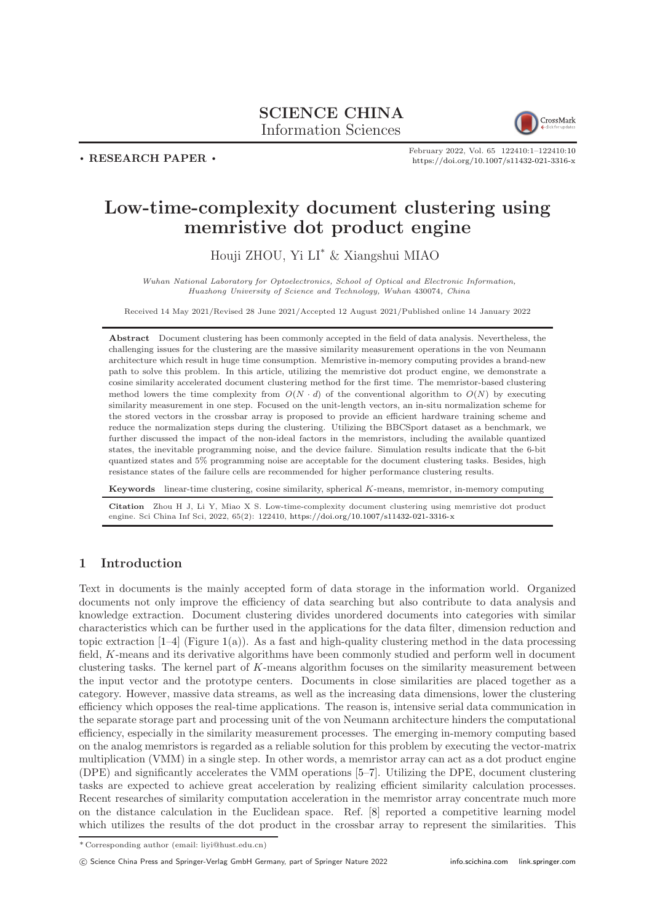# SCIENCE CHINA Information Sciences



 $\cdot$  RESEARCH PAPER  $\cdot$ 

February 2022, Vol. 65 122410:1–122410[:10](#page-9-0) <https://doi.org/10.1007/s11432-021-3316-x>

# Low-time-complexity document clustering using memristive dot product engine

Houji ZHOU, Yi LI\* & Xiangshui MIAO

Wuhan National Laboratory for Optoelectronics, School of Optical and Electronic Information, Huazhong University of Science and Technology, Wuhan 430074, China

Received 14 May 2021/Revised 28 June 2021/Accepted 12 August 2021/Published online 14 January 2022

Abstract Document clustering has been commonly accepted in the field of data analysis. Nevertheless, the challenging issues for the clustering are the massive similarity measurement operations in the von Neumann architecture which result in huge time consumption. Memristive in-memory computing provides a brand-new path to solve this problem. In this article, utilizing the memristive dot product engine, we demonstrate a cosine similarity accelerated document clustering method for the first time. The memristor-based clustering method lowers the time complexity from  $O(N \cdot d)$  of the conventional algorithm to  $O(N)$  by executing similarity measurement in one step. Focused on the unit-length vectors, an in-situ normalization scheme for the stored vectors in the crossbar array is proposed to provide an efficient hardware training scheme and reduce the normalization steps during the clustering. Utilizing the BBCSport dataset as a benchmark, we further discussed the impact of the non-ideal factors in the memristors, including the available quantized states, the inevitable programming noise, and the device failure. Simulation results indicate that the 6-bit quantized states and 5% programming noise are acceptable for the document clustering tasks. Besides, high resistance states of the failure cells are recommended for higher performance clustering results.

Keywords linear-time clustering, cosine similarity, spherical K-means, memristor, in-memory computing

Citation Zhou H J, Li Y, Miao X S. Low-time-complexity document clustering using memristive dot product engine. Sci China Inf Sci, 2022, 65(2): 122410, <https://doi.org/10.1007/s11432-021-3316-x>

## 1 Introduction

Text in documents is the mainly accepted form of data storage in the information world. Organized documents not only improve the efficiency of data searching but also contribute to data analysis and knowledge extraction. Document clustering divides unordered documents into categories with similar characteristics which can be further used in the applications for the data filter, dimension reduction and topic extraction  $[1-4]$  $[1-4]$  (Figure [1\(](#page-1-0)a)). As a fast and high-quality clustering method in the data processing field, K-means and its derivative algorithms have been commonly studied and perform well in document clustering tasks. The kernel part of K-means algorithm focuses on the similarity measurement between the input vector and the prototype centers. Documents in close similarities are placed together as a category. However, massive data streams, as well as the increasing data dimensions, lower the clustering efficiency which opposes the real-time applications. The reason is, intensive serial data communication in the separate storage part and processing unit of the von Neumann architecture hinders the computational efficiency, especially in the similarity measurement processes. The emerging in-memory computing based on the analog memristors is regarded as a reliable solution for this problem by executing the vector-matrix multiplication (VMM) in a single step. In other words, a memristor array can act as a dot product engine (DPE) and significantly accelerates the VMM operations [\[5–](#page-8-2)[7\]](#page-8-3). Utilizing the DPE, document clustering tasks are expected to achieve great acceleration by realizing efficient similarity calculation processes. Recent researches of similarity computation acceleration in the memristor array concentrate much more on the distance calculation in the Euclidean space. Ref. [\[8\]](#page-8-4) reported a competitive learning model which utilizes the results of the dot product in the crossbar array to represent the similarities. This

<sup>\*</sup> Corresponding author (email: liyi@hust.edu.cn)

c Science China Press and Springer-Verlag GmbH Germany, part of Springer Nature 2022 <info.scichina.com><link.springer.com>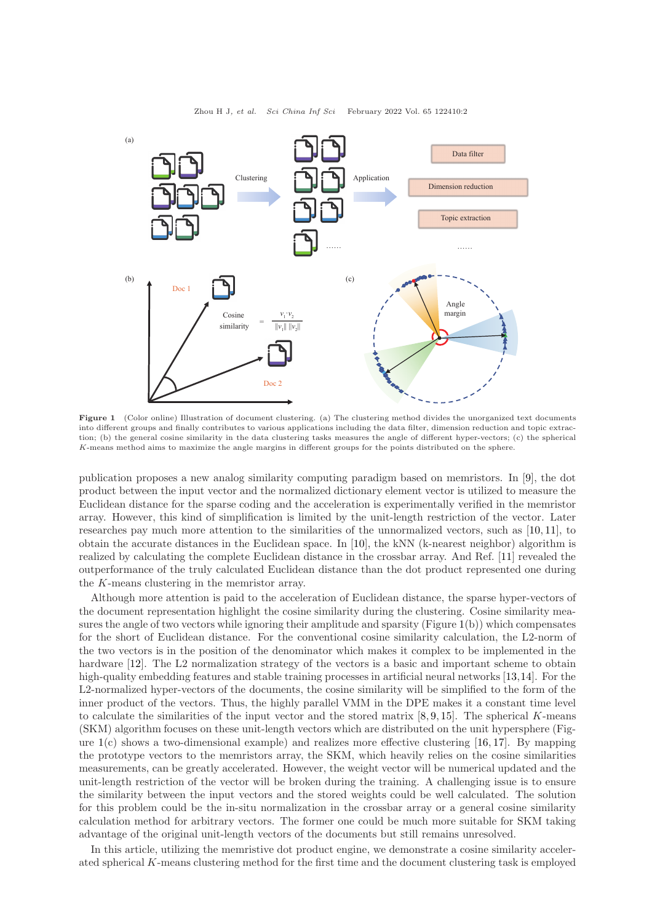<span id="page-1-0"></span>

Figure 1 (Color online) Illustration of document clustering. (a) The clustering method divides the unorganized text documents into different groups and finally contributes to various applications including the data filter, dimension reduction and topic extraction; (b) the general cosine similarity in the data clustering tasks measures the angle of different hyper-vectors; (c) the spherical K-means method aims to maximize the angle margins in different groups for the points distributed on the sphere.

publication proposes a new analog similarity computing paradigm based on memristors. In [\[9\]](#page-8-5), the dot product between the input vector and the normalized dictionary element vector is utilized to measure the Euclidean distance for the sparse coding and the acceleration is experimentally verified in the memristor array. However, this kind of simplification is limited by the unit-length restriction of the vector. Later researches pay much more attention to the similarities of the unnormalized vectors, such as [\[10,](#page-8-6) [11\]](#page-8-7), to obtain the accurate distances in the Euclidean space. In [\[10\]](#page-8-6), the kNN (k-nearest neighbor) algorithm is realized by calculating the complete Euclidean distance in the crossbar array. And Ref. [\[11\]](#page-8-7) revealed the outperformance of the truly calculated Euclidean distance than the dot product represented one during the K-means clustering in the memristor array.

Although more attention is paid to the acceleration of Euclidean distance, the sparse hyper-vectors of the document representation highlight the cosine similarity during the clustering. Cosine similarity measures the angle of two vectors while ignoring their amplitude and sparsity (Figure [1\(](#page-1-0)b)) which compensates for the short of Euclidean distance. For the conventional cosine similarity calculation, the L2-norm of the two vectors is in the position of the denominator which makes it complex to be implemented in the hardware [\[12\]](#page-8-8). The L2 normalization strategy of the vectors is a basic and important scheme to obtain high-quality embedding features and stable training processes in artificial neural networks [\[13,](#page-8-9)[14\]](#page-8-10). For the L2-normalized hyper-vectors of the documents, the cosine similarity will be simplified to the form of the inner product of the vectors. Thus, the highly parallel VMM in the DPE makes it a constant time level to calculate the similarities of the input vector and the stored matrix  $[8, 9, 15]$  $[8, 9, 15]$  $[8, 9, 15]$  $[8, 9, 15]$  $[8, 9, 15]$ . The spherical K-means (SKM) algorithm focuses on these unit-length vectors which are distributed on the unit hypersphere (Figure  $1(c)$  $1(c)$  shows a two-dimensional example) and realizes more effective clustering [\[16,](#page-8-12) [17\]](#page-9-1). By mapping the prototype vectors to the memristors array, the SKM, which heavily relies on the cosine similarities measurements, can be greatly accelerated. However, the weight vector will be numerical updated and the unit-length restriction of the vector will be broken during the training. A challenging issue is to ensure the similarity between the input vectors and the stored weights could be well calculated. The solution for this problem could be the in-situ normalization in the crossbar array or a general cosine similarity calculation method for arbitrary vectors. The former one could be much more suitable for SKM taking advantage of the original unit-length vectors of the documents but still remains unresolved.

In this article, utilizing the memristive dot product engine, we demonstrate a cosine similarity accelerated spherical K-means clustering method for the first time and the document clustering task is employed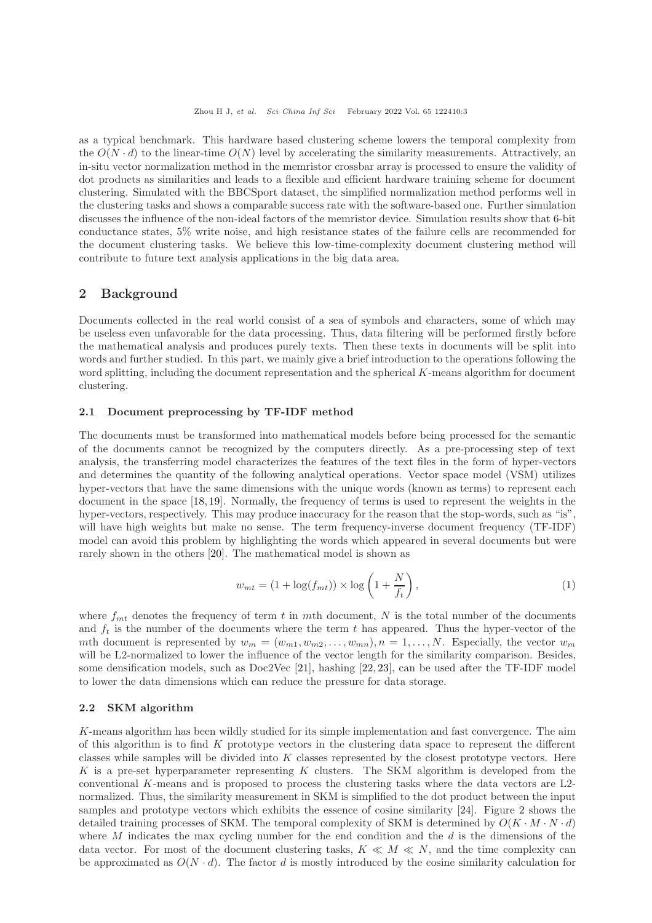as a typical benchmark. This hardware based clustering scheme lowers the temporal complexity from the  $O(N \cdot d)$  to the linear-time  $O(N)$  level by accelerating the similarity measurements. Attractively, an in-situ vector normalization method in the memristor crossbar array is processed to ensure the validity of dot products as similarities and leads to a flexible and efficient hardware training scheme for document clustering. Simulated with the BBCSport dataset, the simplified normalization method performs well in the clustering tasks and shows a comparable success rate with the software-based one. Further simulation discusses the influence of the non-ideal factors of the memristor device. Simulation results show that 6-bit conductance states, 5% write noise, and high resistance states of the failure cells are recommended for the document clustering tasks. We believe this low-time-complexity document clustering method will contribute to future text analysis applications in the big data area.

### 2 Background

Documents collected in the real world consist of a sea of symbols and characters, some of which may be useless even unfavorable for the data processing. Thus, data filtering will be performed firstly before the mathematical analysis and produces purely texts. Then these texts in documents will be split into words and further studied. In this part, we mainly give a brief introduction to the operations following the word splitting, including the document representation and the spherical  $K$ -means algorithm for document clustering.

### 2.1 Document preprocessing by TF-IDF method

The documents must be transformed into mathematical models before being processed for the semantic of the documents cannot be recognized by the computers directly. As a pre-processing step of text analysis, the transferring model characterizes the features of the text files in the form of hyper-vectors and determines the quantity of the following analytical operations. Vector space model (VSM) utilizes hyper-vectors that have the same dimensions with the unique words (known as terms) to represent each document in the space [\[18,](#page-9-2) [19\]](#page-9-3). Normally, the frequency of terms is used to represent the weights in the hyper-vectors, respectively. This may produce inaccuracy for the reason that the stop-words, such as "is", will have high weights but make no sense. The term frequency-inverse document frequency (TF-IDF) model can avoid this problem by highlighting the words which appeared in several documents but were rarely shown in the others [\[20\]](#page-9-4). The mathematical model is shown as

$$
w_{mt} = (1 + \log(f_{mt})) \times \log\left(1 + \frac{N}{f_t}\right),\tag{1}
$$

where  $f_{mt}$  denotes the frequency of term t in mth document, N is the total number of the documents and  $f_t$  is the number of the documents where the term t has appeared. Thus the hyper-vector of the mth document is represented by  $w_m = (w_{m1}, w_{m2}, \ldots, w_{mn}), n = 1, \ldots, N$ . Especially, the vector  $w_m$ will be L2-normalized to lower the influence of the vector length for the similarity comparison. Besides, some densification models, such as Doc2Vec [\[21\]](#page-9-5), hashing [\[22,](#page-9-6) [23\]](#page-9-7), can be used after the TF-IDF model to lower the data dimensions which can reduce the pressure for data storage.

#### 2.2 SKM algorithm

K-means algorithm has been wildly studied for its simple implementation and fast convergence. The aim of this algorithm is to find  $K$  prototype vectors in the clustering data space to represent the different classes while samples will be divided into  $K$  classes represented by the closest prototype vectors. Here K is a pre-set hyperparameter representing  $K$  clusters. The SKM algorithm is developed from the conventional K-means and is proposed to process the clustering tasks where the data vectors are L2 normalized. Thus, the similarity measurement in SKM is simplified to the dot product between the input samples and prototype vectors which exhibits the essence of cosine similarity [\[24\]](#page-9-8). Figure [2](#page-3-0) shows the detailed training processes of SKM. The temporal complexity of SKM is determined by  $O(K \cdot M \cdot N \cdot d)$ where M indicates the max cycling number for the end condition and the  $d$  is the dimensions of the data vector. For most of the document clustering tasks,  $K \ll M \ll N$ , and the time complexity can be approximated as  $O(N \cdot d)$ . The factor d is mostly introduced by the cosine similarity calculation for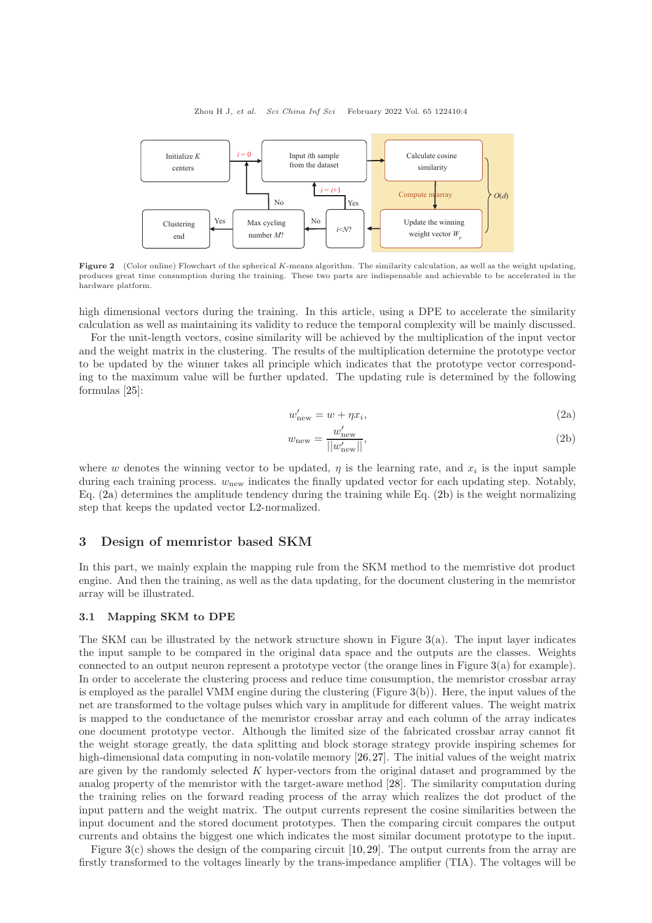<span id="page-3-0"></span>

Figure 2 (Color online) Flowchart of the spherical K-means algorithm. The similarity calculation, as well as the weight updating, produces great time consumption during the training. These two parts are indispensable and achievable to be accelerated in the hardware platform.

high dimensional vectors during the training. In this article, using a DPE to accelerate the similarity calculation as well as maintaining its validity to reduce the temporal complexity will be mainly discussed.

For the unit-length vectors, cosine similarity will be achieved by the multiplication of the input vector and the weight matrix in the clustering. The results of the multiplication determine the prototype vector to be updated by the winner takes all principle which indicates that the prototype vector corresponding to the maximum value will be further updated. The updating rule is determined by the following formulas [\[25\]](#page-9-9):

<span id="page-3-2"></span><span id="page-3-1"></span>
$$
w'_{\text{new}} = w + \eta x_i,\tag{2a}
$$

$$
w_{\text{new}} = \frac{w'_{\text{new}}}{||w'_{\text{new}}||},\tag{2b}
$$

where w denotes the winning vector to be updated,  $\eta$  is the learning rate, and  $x_i$  is the input sample during each training process.  $w_{\text{new}}$  indicates the finally updated vector for each updating step. Notably, Eq. [\(2a\)](#page-3-1) determines the amplitude tendency during the training while Eq. [\(2b\)](#page-3-2) is the weight normalizing step that keeps the updated vector L2-normalized.

#### 3 Design of memristor based SKM

In this part, we mainly explain the mapping rule from the SKM method to the memristive dot product engine. And then the training, as well as the data updating, for the document clustering in the memristor array will be illustrated.

#### 3.1 Mapping SKM to DPE

The SKM can be illustrated by the network structure shown in Figure  $3(a)$  $3(a)$ . The input layer indicates the input sample to be compared in the original data space and the outputs are the classes. Weights connected to an output neuron represent a prototype vector (the orange lines in Figure [3\(](#page-4-0)a) for example). In order to accelerate the clustering process and reduce time consumption, the memristor crossbar array is employed as the parallel VMM engine during the clustering (Figure [3\(](#page-4-0)b)). Here, the input values of the net are transformed to the voltage pulses which vary in amplitude for different values. The weight matrix is mapped to the conductance of the memristor crossbar array and each column of the array indicates one document prototype vector. Although the limited size of the fabricated crossbar array cannot fit the weight storage greatly, the data splitting and block storage strategy provide inspiring schemes for high-dimensional data computing in non-volatile memory [\[26,](#page-9-10)[27\]](#page-9-11). The initial values of the weight matrix are given by the randomly selected K hyper-vectors from the original dataset and programmed by the analog property of the memristor with the target-aware method [\[28\]](#page-9-12). The similarity computation during the training relies on the forward reading process of the array which realizes the dot product of the input pattern and the weight matrix. The output currents represent the cosine similarities between the input document and the stored document prototypes. Then the comparing circuit compares the output currents and obtains the biggest one which indicates the most similar document prototype to the input.

Figure [3\(](#page-4-0)c) shows the design of the comparing circuit [\[10,](#page-8-6)[29\]](#page-9-13). The output currents from the array are firstly transformed to the voltages linearly by the trans-impedance amplifier (TIA). The voltages will be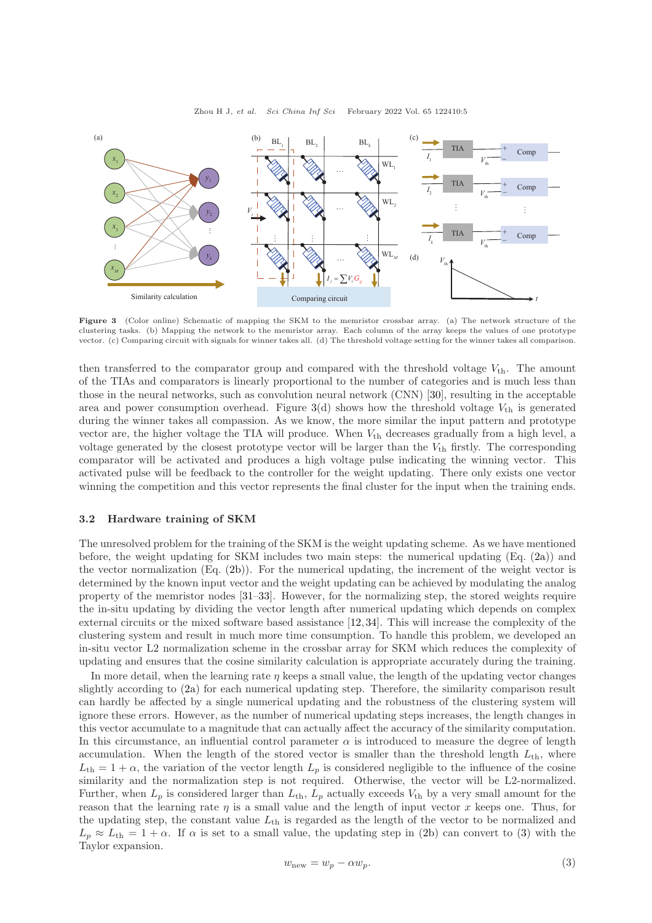<span id="page-4-0"></span>

Figure 3 (Color online) Schematic of mapping the SKM to the memristor crossbar array. (a) The network structure of the clustering tasks. (b) Mapping the network to the memristor array. Each column of the array keeps the values of one prototype vector. (c) Comparing circuit with signals for winner takes all. (d) The threshold voltage setting for the winner takes all comparison.

then transferred to the comparator group and compared with the threshold voltage  $V_{\text{th}}$ . The amount of the TIAs and comparators is linearly proportional to the number of categories and is much less than those in the neural networks, such as convolution neural network (CNN) [\[30\]](#page-9-14), resulting in the acceptable area and power consumption overhead. Figure  $3(d)$  $3(d)$  shows how the threshold voltage  $V_{th}$  is generated during the winner takes all compassion. As we know, the more similar the input pattern and prototype vector are, the higher voltage the TIA will produce. When  $V_{th}$  decreases gradually from a high level, a voltage generated by the closest prototype vector will be larger than the  $V_{th}$  firstly. The corresponding comparator will be activated and produces a high voltage pulse indicating the winning vector. This activated pulse will be feedback to the controller for the weight updating. There only exists one vector winning the competition and this vector represents the final cluster for the input when the training ends.

#### 3.2 Hardware training of SKM

The unresolved problem for the training of the SKM is the weight updating scheme. As we have mentioned before, the weight updating for SKM includes two main steps: the numerical updating (Eq. [\(2a\)](#page-3-1)) and the vector normalization (Eq. [\(2b\)](#page-3-2)). For the numerical updating, the increment of the weight vector is determined by the known input vector and the weight updating can be achieved by modulating the analog property of the memristor nodes [\[31](#page-9-15)[–33\]](#page-9-16). However, for the normalizing step, the stored weights require the in-situ updating by dividing the vector length after numerical updating which depends on complex external circuits or the mixed software based assistance [\[12,](#page-8-8)[34\]](#page-9-17). This will increase the complexity of the clustering system and result in much more time consumption. To handle this problem, we developed an in-situ vector L2 normalization scheme in the crossbar array for SKM which reduces the complexity of updating and ensures that the cosine similarity calculation is appropriate accurately during the training.

<span id="page-4-1"></span>In more detail, when the learning rate  $\eta$  keeps a small value, the length of the updating vector changes slightly according to [\(2a\)](#page-3-1) for each numerical updating step. Therefore, the similarity comparison result can hardly be affected by a single numerical updating and the robustness of the clustering system will ignore these errors. However, as the number of numerical updating steps increases, the length changes in this vector accumulate to a magnitude that can actually affect the accuracy of the similarity computation. In this circumstance, an influential control parameter  $\alpha$  is introduced to measure the degree of length accumulation. When the length of the stored vector is smaller than the threshold length  $L_{th}$ , where  $L_{th} = 1 + \alpha$ , the variation of the vector length  $L_p$  is considered negligible to the influence of the cosine similarity and the normalization step is not required. Otherwise, the vector will be L2-normalized. Further, when  $L_p$  is considered larger than  $L_{th}$ ,  $L_p$  actually exceeds  $V_{th}$  by a very small amount for the reason that the learning rate  $\eta$  is a small value and the length of input vector x keeps one. Thus, for the updating step, the constant value  $L_{th}$  is regarded as the length of the vector to be normalized and  $L_p \approx L_{th} = 1 + \alpha$ . If  $\alpha$  is set to a small value, the updating step in [\(2b\)](#page-3-2) can convert to [\(3\)](#page-4-1) with the Taylor expansion.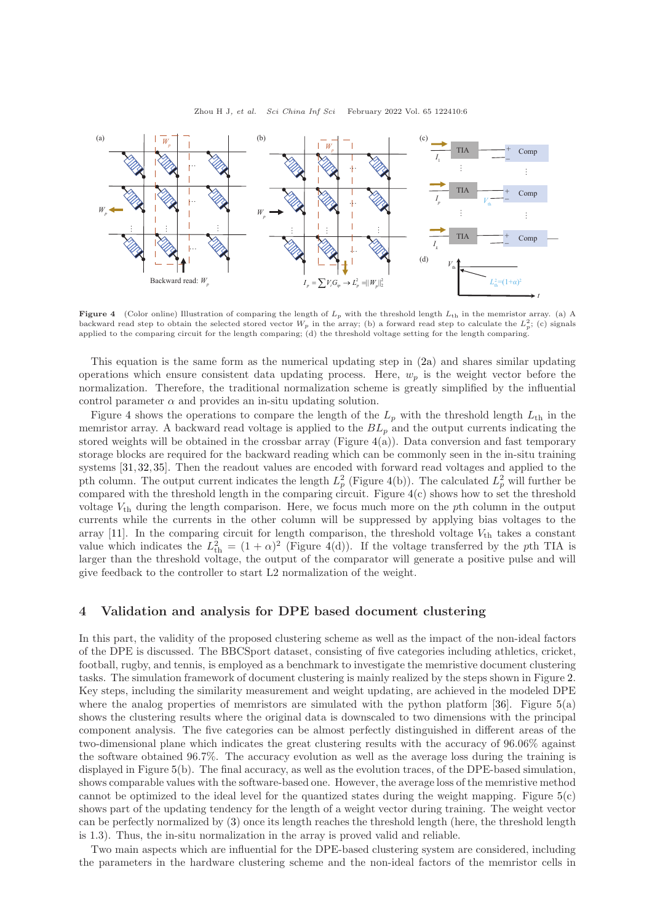<span id="page-5-0"></span>

Figure 4 (Color online) Illustration of comparing the length of  $L_p$  with the threshold length  $L_{th}$  in the memristor array. (a) A backward read step to obtain the selected stored vector  $W_p$  in the array; (b) a forward read step to calculate the  $L_p^2$ ; (c) signals applied to the comparing circuit for the length comparing; (d) the threshold voltage setting for the length comparing.

This equation is the same form as the numerical updating step in [\(2a\)](#page-3-1) and shares similar updating operations which ensure consistent data updating process. Here,  $w_p$  is the weight vector before the normalization. Therefore, the traditional normalization scheme is greatly simplified by the influential control parameter  $\alpha$  and provides an in-situ updating solution.

Figure [4](#page-5-0) shows the operations to compare the length of the  $L_p$  with the threshold length  $L_{th}$  in the memristor array. A backward read voltage is applied to the  $BL_p$  and the output currents indicating the stored weights will be obtained in the crossbar array (Figure  $4(a)$  $4(a)$ ). Data conversion and fast temporary storage blocks are required for the backward reading which can be commonly seen in the in-situ training systems [\[31,](#page-9-15) [32,](#page-9-18) [35\]](#page-9-19). Then the readout values are encoded with forward read voltages and applied to the pth column. The output current indicates the length  $L_p^2$  (Figure [4\(](#page-5-0)b)). The calculated  $L_p^2$  will further be compared with the threshold length in the comparing circuit. Figure [4\(](#page-5-0)c) shows how to set the threshold voltage  $V_{th}$  during the length comparison. Here, we focus much more on the pth column in the output currents while the currents in the other column will be suppressed by applying bias voltages to the array [\[11\]](#page-8-7). In the comparing circuit for length comparison, the threshold voltage  $V_{th}$  takes a constant value which indicates the  $L_{\text{th}}^2 = (1 + \alpha)^2$  (Figure [4\(](#page-5-0)d)). If the voltage transferred by the pth TIA is larger than the threshold voltage, the output of the comparator will generate a positive pulse and will give feedback to the controller to start L2 normalization of the weight.

#### 4 Validation and analysis for DPE based document clustering

In this part, the validity of the proposed clustering scheme as well as the impact of the non-ideal factors of the DPE is discussed. The BBCSport dataset, consisting of five categories including athletics, cricket, football, rugby, and tennis, is employed as a benchmark to investigate the memristive document clustering tasks. The simulation framework of document clustering is mainly realized by the steps shown in Figure [2.](#page-3-0) Key steps, including the similarity measurement and weight updating, are achieved in the modeled DPE where the analog properties of memristors are simulated with the python platform  $[36]$ . Figure  $5(a)$  $5(a)$ shows the clustering results where the original data is downscaled to two dimensions with the principal component analysis. The five categories can be almost perfectly distinguished in different areas of the two-dimensional plane which indicates the great clustering results with the accuracy of 96.06% against the software obtained 96.7%. The accuracy evolution as well as the average loss during the training is displayed in Figure [5\(](#page-6-0)b). The final accuracy, as well as the evolution traces, of the DPE-based simulation, shows comparable values with the software-based one. However, the average loss of the memristive method cannot be optimized to the ideal level for the quantized states during the weight mapping. Figure [5\(](#page-6-0)c) shows part of the updating tendency for the length of a weight vector during training. The weight vector can be perfectly normalized by [\(3\)](#page-4-1) once its length reaches the threshold length (here, the threshold length is 1.3). Thus, the in-situ normalization in the array is proved valid and reliable.

Two main aspects which are influential for the DPE-based clustering system are considered, including the parameters in the hardware clustering scheme and the non-ideal factors of the memristor cells in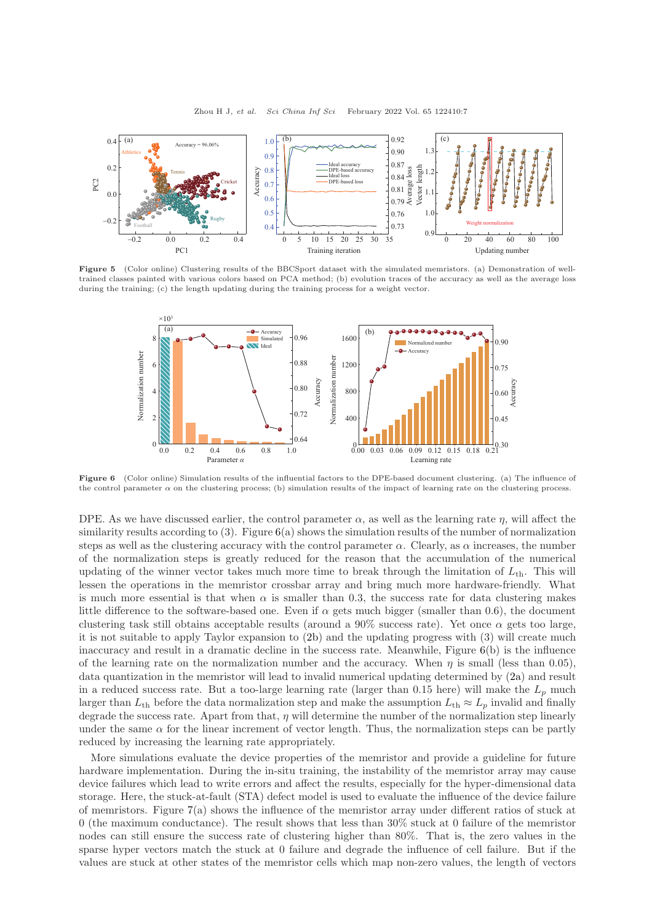<span id="page-6-0"></span>

<span id="page-6-1"></span>Figure 5 (Color online) Clustering results of the BBCSport dataset with the simulated memristors. (a) Demonstration of welltrained classes painted with various colors based on PCA method; (b) evolution traces of the accuracy as well as the average loss during the training; (c) the length updating during the training process for a weight vector.



Figure 6 (Color online) Simulation results of the influential factors to the DPE-based document clustering. (a) The influence of the control parameter  $\alpha$  on the clustering process; (b) simulation results of the impact of learning rate on the clustering process.

DPE. As we have discussed earlier, the control parameter  $\alpha$ , as well as the learning rate  $\eta$ , will affect the similarity results according to  $(3)$ . Figure  $6(a)$  $6(a)$  shows the simulation results of the number of normalization steps as well as the clustering accuracy with the control parameter  $\alpha$ . Clearly, as  $\alpha$  increases, the number of the normalization steps is greatly reduced for the reason that the accumulation of the numerical updating of the winner vector takes much more time to break through the limitation of  $L_{th}$ . This will lessen the operations in the memristor crossbar array and bring much more hardware-friendly. What is much more essential is that when  $\alpha$  is smaller than 0.3, the success rate for data clustering makes little difference to the software-based one. Even if  $\alpha$  gets much bigger (smaller than 0.6), the document clustering task still obtains acceptable results (around a 90% success rate). Yet once  $\alpha$  gets too large, it is not suitable to apply Taylor expansion to [\(2b\)](#page-3-2) and the updating progress with (3) will create much inaccuracy and result in a dramatic decline in the success rate. Meanwhile, Figure [6\(](#page-6-1)b) is the influence of the learning rate on the normalization number and the accuracy. When  $\eta$  is small (less than 0.05), data quantization in the memristor will lead to invalid numerical updating determined by [\(2a\)](#page-3-1) and result in a reduced success rate. But a too-large learning rate (larger than 0.15 here) will make the  $L_p$  much larger than  $L_{th}$  before the data normalization step and make the assumption  $L_{th} \approx L_p$  invalid and finally degrade the success rate. Apart from that,  $\eta$  will determine the number of the normalization step linearly under the same  $\alpha$  for the linear increment of vector length. Thus, the normalization steps can be partly reduced by increasing the learning rate appropriately.

More simulations evaluate the device properties of the memristor and provide a guideline for future hardware implementation. During the in-situ training, the instability of the memristor array may cause device failures which lead to write errors and affect the results, especially for the hyper-dimensional data storage. Here, the stuck-at-fault (STA) defect model is used to evaluate the influence of the device failure of memristors. Figure  $7(a)$  $7(a)$  shows the influence of the memristor array under different ratios of stuck at 0 (the maximum conductance). The result shows that less than 30% stuck at 0 failure of the memristor nodes can still ensure the success rate of clustering higher than 80%. That is, the zero values in the sparse hyper vectors match the stuck at 0 failure and degrade the influence of cell failure. But if the values are stuck at other states of the memristor cells which map non-zero values, the length of vectors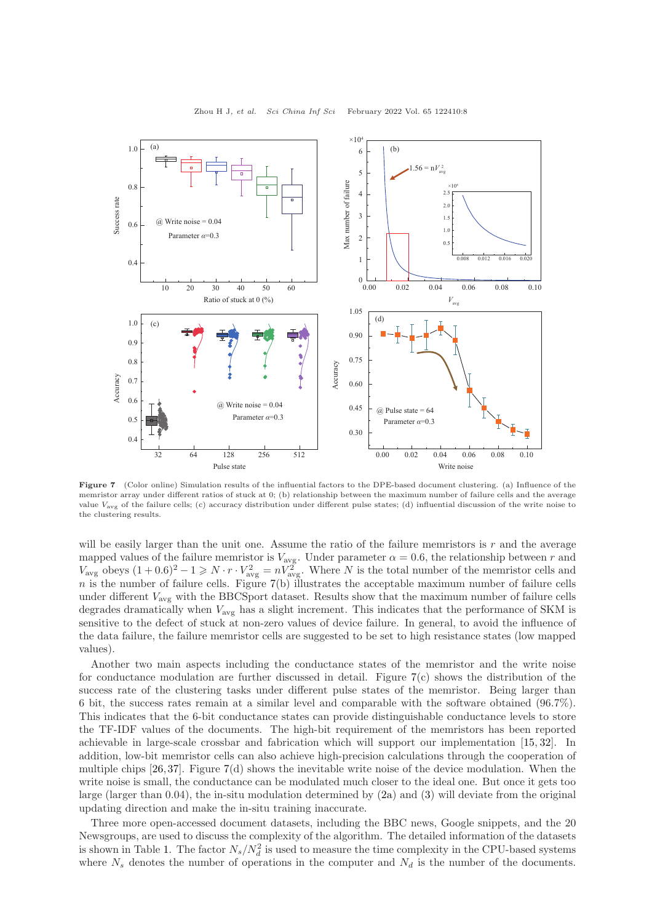<span id="page-7-0"></span>

Figure 7 (Color online) Simulation results of the influential factors to the DPE-based document clustering. (a) Influence of the memristor array under different ratios of stuck at 0; (b) relationship between the maximum number of failure cells and the average value  $V_{\text{avg}}$  of the failure cells; (c) accuracy distribution under different pulse states; (d) influential discussion of the write noise to the clustering results.

will be easily larger than the unit one. Assume the ratio of the failure memristors is  $r$  and the average mapped values of the failure memristor is  $V_{\text{avg}}$ . Under parameter  $\alpha = 0.6$ , the relationship between r and  $V_{\text{avg}}$  obeys  $(1+0.6)^2 - 1 \geq N \cdot r \cdot V_{\text{avg}}^2 = nV_{\text{avg}}^2$ . Where N is the total number of the memristor cells and n is the number of failure cells. Figure  $7(b)$  $7(b)$  illustrates the acceptable maximum number of failure cells under different  $V_{\text{avg}}$  with the BBCSport dataset. Results show that the maximum number of failure cells degrades dramatically when  $V_{\text{avg}}$  has a slight increment. This indicates that the performance of SKM is sensitive to the defect of stuck at non-zero values of device failure. In general, to avoid the influence of the data failure, the failure memristor cells are suggested to be set to high resistance states (low mapped values).

Another two main aspects including the conductance states of the memristor and the write noise for conductance modulation are further discussed in detail. Figure [7\(](#page-7-0)c) shows the distribution of the success rate of the clustering tasks under different pulse states of the memristor. Being larger than 6 bit, the success rates remain at a similar level and comparable with the software obtained (96.7%). This indicates that the 6-bit conductance states can provide distinguishable conductance levels to store the TF-IDF values of the documents. The high-bit requirement of the memristors has been reported achievable in large-scale crossbar and fabrication which will support our implementation [\[15,](#page-8-11) [32\]](#page-9-18). In addition, low-bit memristor cells can also achieve high-precision calculations through the cooperation of multiple chips [\[26,](#page-9-10)[37\]](#page-9-21). Figure [7\(](#page-7-0)d) shows the inevitable write noise of the device modulation. When the write noise is small, the conductance can be modulated much closer to the ideal one. But once it gets too large (larger than 0.04), the in-situ modulation determined by [\(2a\)](#page-3-1) and [\(3\)](#page-4-1) will deviate from the original updating direction and make the in-situ training inaccurate.

Three more open-accessed document datasets, including the BBC news, Google snippets, and the 20 Newsgroups, are used to discuss the complexity of the algorithm. The detailed information of the datasets is shown in Table [1.](#page-8-13) The factor  $N_s/N_d^2$  is used to measure the time complexity in the CPU-based systems where  $N_s$  denotes the number of operations in the computer and  $N_d$  is the number of the documents.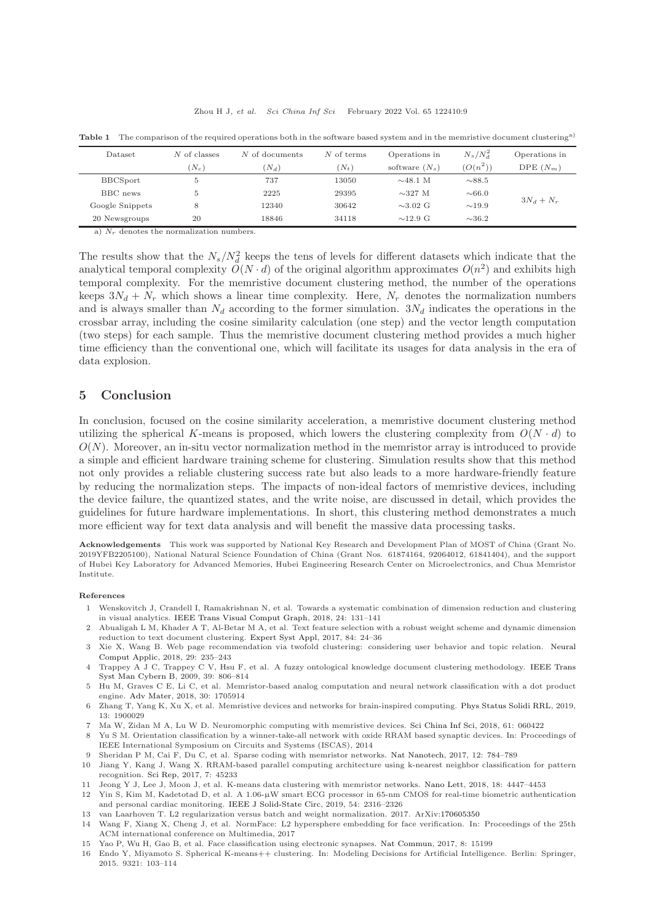| Dataset         | N of classes | N of documents | $N$ of terms | Operations in    | $N_s/N_d^2$ | Operations in |
|-----------------|--------------|----------------|--------------|------------------|-------------|---------------|
|                 | $N_c$        | $(N_d)$        | $(N_t)$      | software $(N_s)$ | $(O(n^2))$  | DPE $(N_m)$   |
| <b>BBCSport</b> | 5            | 737            | 13050        | $\sim$ 48.1 M    | $\sim$ 88.5 | $3N_d + N_r$  |
| BBC news        | 5.           | 2225           | 29395        | $\sim$ 327 M     | $\sim 66.0$ |               |
| Google Snippets | 8            | 12340          | 30642        | $\sim$ 3.02 G    | $\sim$ 19.9 |               |
| 20 Newsgroups   | 20           | 18846          | 34118        | $\sim$ 12.9 G    | $\sim$ 36.2 |               |

<span id="page-8-13"></span>Table 1 The comparison of the required operations both in the software based system and in the memristive document clustering<sup>a)</sup>

a)  $N_r$  denotes the normalization numbers.

The results show that the  $N_s/N_d^2$  keeps the tens of levels for different datasets which indicate that the analytical temporal complexity  $O(N \cdot d)$  of the original algorithm approximates  $O(n^2)$  and exhibits high temporal complexity. For the memristive document clustering method, the number of the operations keeps  $3N_d + N_r$  which shows a linear time complexity. Here,  $N_r$  denotes the normalization numbers and is always smaller than  $N_d$  according to the former simulation.  $3N_d$  indicates the operations in the crossbar array, including the cosine similarity calculation (one step) and the vector length computation (two steps) for each sample. Thus the memristive document clustering method provides a much higher time efficiency than the conventional one, which will facilitate its usages for data analysis in the era of data explosion.

## 5 Conclusion

In conclusion, focused on the cosine similarity acceleration, a memristive document clustering method utilizing the spherical K-means is proposed, which lowers the clustering complexity from  $O(N \cdot d)$  to  $O(N)$ . Moreover, an in-situ vector normalization method in the memristor array is introduced to provide a simple and efficient hardware training scheme for clustering. Simulation results show that this method not only provides a reliable clustering success rate but also leads to a more hardware-friendly feature by reducing the normalization steps. The impacts of non-ideal factors of memristive devices, including the device failure, the quantized states, and the write noise, are discussed in detail, which provides the guidelines for future hardware implementations. In short, this clustering method demonstrates a much more efficient way for text data analysis and will benefit the massive data processing tasks.

Acknowledgements This work was supported by National Key Research and Development Plan of MOST of China (Grant No. 2019YFB2205100), National Natural Science Foundation of China (Grant Nos. 61874164, 92064012, 61841404), and the support of Hubei Key Laboratory for Advanced Memories, Hubei Engineering Research Center on Microelectronics, and Chua Memristor Institute.

#### <span id="page-8-0"></span>References

- 1 Wenskovitch J, Crandell I, Ramakrishnan N, et al. Towards a systematic combination of dimension reduction and clustering in visual analytics. [IEEE Trans Visual Comput Graph,](https://doi.org/10.1109/TVCG.2017.2745258) 2018, 24: 131–141
- 2 Abualigah L M, Khader A T, Al-Betar M A, et al. Text feature selection with a robust weight scheme and dynamic dimension reduction to text document clustering. [Expert Syst Appl,](https://doi.org/10.1016/j.eswa.2017.05.002) 2017, 84: 24–36
- 3 Xie X, Wang B. Web page recommendation via twofold clustering: considering user behavior and topic relation. Neural Comput Applic, 2018, 29: 235–243
- <span id="page-8-1"></span>4 Trappey A J C, Trappey C V, Hsu F, et al. A fuzzy ontological knowledge document clustering methodology. IEEE Trans Syst Man Cybern B, 2009, 39: 806–814
- <span id="page-8-2"></span>5 Hu M, Graves C E, Li C, et al. Memristor-based analog computation and neural network classification with a dot product engine. [Adv Mater,](https://doi.org/10.1002/adma.201705914) 2018, 30: 1705914
- 6 Zhang T, Yang K, Xu X, et al. Memristive devices and networks for brain-inspired computing. [Phys Status Solidi RRL,](https://doi.org/10.1002/pssr.201900029) 2019, 13: 1900029
- <span id="page-8-4"></span><span id="page-8-3"></span>7 Ma W, Zidan M A, Lu W D. Neuromorphic computing with memristive devices. [Sci China Inf Sci,](https://doi.org/10.1007/s11432-017-9424-y) 2018, 61: 060422
- 8 Yu S M. Orientation classification by a winner-take-all network with oxide RRAM based synaptic devices. In: Proceedings of IEEE International Symposium on Circuits and Systems (ISCAS), 2014
- <span id="page-8-6"></span><span id="page-8-5"></span>9 Sheridan P M, Cai F, Du C, et al. Sparse coding with memristor networks. [Nat Nanotech,](https://doi.org/10.1038/nnano.2017.83) 2017, 12: 784–789
- 10 Jiang Y, Kang J, Wang X. RRAM-based parallel computing architecture using k-nearest neighbor classification for pattern recognition. [Sci Rep,](https://doi.org/10.1038/srep45233) 2017, 7: 45233
- <span id="page-8-8"></span><span id="page-8-7"></span>11 Jeong Y J, Lee J, Moon J, et al. K-means data clustering with memristor networks. [Nano Lett,](https://doi.org/10.1021/acs.nanolett.8b01526) 2018, 18: 4447–4453
- 12 Yin S, Kim M, Kadetotad D, et al. A 1.06-µW smart ECG processor in 65-nm CMOS for real-time biometric authentication and personal cardiac monitoring. [IEEE J Solid-State Circ,](https://doi.org/10.1109/JSSC.2019.2912304) 2019, 54: 2316–2326
- <span id="page-8-10"></span><span id="page-8-9"></span>13 van Laarhoven T. L2 regularization versus batch and weight normalization. 2017. ArXiv[:170605350](https://arxiv.org/abs/170605350)
- 14 Wang F, Xiang X, Cheng J, et al. NormFace: L2 hypersphere embedding for face verification. In: Proceedings of the 25th ACM international conference on Multimedia, 2017
- <span id="page-8-12"></span><span id="page-8-11"></span>15 Yao P, Wu H, Gao B, et al. Face classification using electronic synapses. [Nat Commun,](https://doi.org/10.1038/ncomms15199) 2017, 8: 15199
- 16 Endo Y, Miyamoto S. Spherical K-means++ clustering. In: Modeling Decisions for Artificial Intelligence. Berlin: Springer, 2015. 9321: 103–114